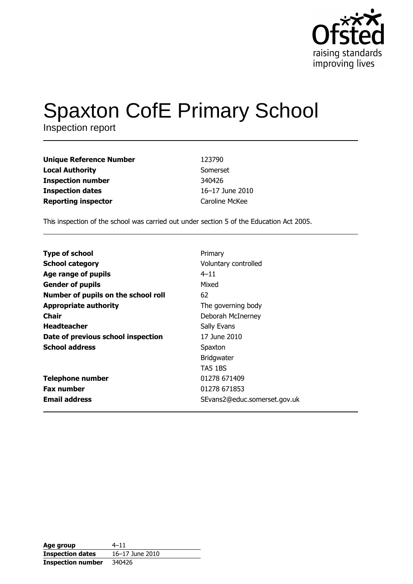

# **Spaxton CofE Primary School**

Inspection report

| Unique Reference Number | 123790          |
|-------------------------|-----------------|
| Local Authority         | Somerset        |
| Inspection number       | 340426          |
| <b>Inspection dates</b> | 16-17 June 2010 |
| Reporting inspector     | Caroline McKee  |
|                         |                 |

This inspection of the school was carried out under section 5 of the Education Act 2005.

| <b>Type of school</b><br>Primary<br><b>School category</b><br>Voluntary controlled |
|------------------------------------------------------------------------------------|
|                                                                                    |
| $4 - 11$<br>Age range of pupils                                                    |
| Mixed<br><b>Gender of pupils</b>                                                   |
| Number of pupils on the school roll<br>62                                          |
| <b>Appropriate authority</b><br>The governing body                                 |
| Chair<br>Deborah McInerney                                                         |
| <b>Headteacher</b><br>Sally Evans                                                  |
| 17 June 2010<br>Date of previous school inspection                                 |
| <b>School address</b><br>Spaxton                                                   |
| <b>Bridgwater</b>                                                                  |
| TA5 1BS                                                                            |
| <b>Telephone number</b><br>01278 671409                                            |
| <b>Fax number</b><br>01278 671853                                                  |
| <b>Email address</b><br>SEvans2@educ.somerset.gov.uk                               |

| Age group                | $4 - 11$        |
|--------------------------|-----------------|
| <b>Inspection dates</b>  | 16-17 June 2010 |
| <b>Inspection number</b> | 340426          |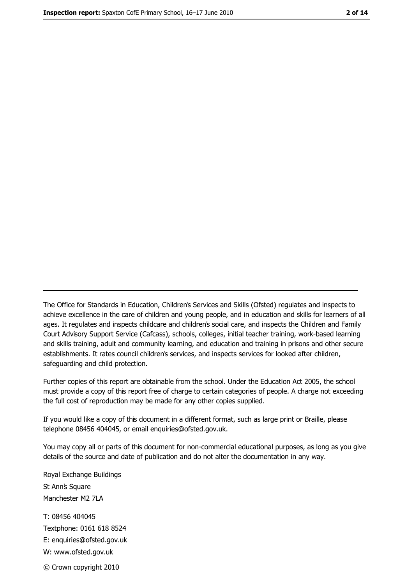The Office for Standards in Education, Children's Services and Skills (Ofsted) regulates and inspects to achieve excellence in the care of children and young people, and in education and skills for learners of all ages. It regulates and inspects childcare and children's social care, and inspects the Children and Family Court Advisory Support Service (Cafcass), schools, colleges, initial teacher training, work-based learning and skills training, adult and community learning, and education and training in prisons and other secure establishments. It rates council children's services, and inspects services for looked after children, safequarding and child protection.

Further copies of this report are obtainable from the school. Under the Education Act 2005, the school must provide a copy of this report free of charge to certain categories of people. A charge not exceeding the full cost of reproduction may be made for any other copies supplied.

If you would like a copy of this document in a different format, such as large print or Braille, please telephone 08456 404045, or email enquiries@ofsted.gov.uk.

You may copy all or parts of this document for non-commercial educational purposes, as long as you give details of the source and date of publication and do not alter the documentation in any way.

Royal Exchange Buildings St Ann's Square Manchester M2 7LA T: 08456 404045 Textphone: 0161 618 8524 E: enquiries@ofsted.gov.uk W: www.ofsted.gov.uk © Crown copyright 2010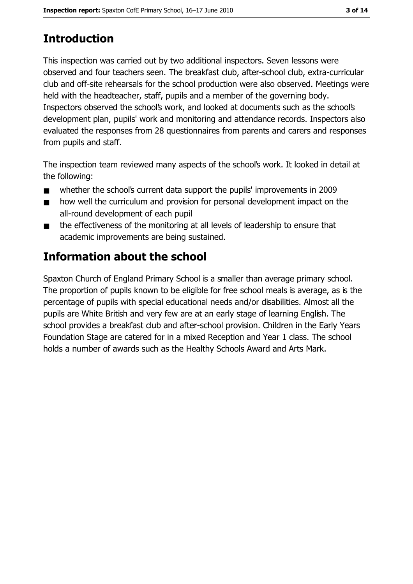# **Introduction**

This inspection was carried out by two additional inspectors. Seven lessons were observed and four teachers seen. The breakfast club, after-school club, extra-curricular club and off-site rehearsals for the school production were also observed. Meetings were held with the headteacher, staff, pupils and a member of the governing body. Inspectors observed the school's work, and looked at documents such as the school's development plan, pupils' work and monitoring and attendance records. Inspectors also evaluated the responses from 28 questionnaires from parents and carers and responses from pupils and staff.

The inspection team reviewed many aspects of the school's work. It looked in detail at the following:

- whether the school's current data support the pupils' improvements in 2009  $\blacksquare$
- how well the curriculum and provision for personal development impact on the  $\blacksquare$ all-round development of each pupil
- the effectiveness of the monitoring at all levels of leadership to ensure that  $\blacksquare$ academic improvements are being sustained.

# Information about the school

Spaxton Church of England Primary School is a smaller than average primary school. The proportion of pupils known to be eligible for free school meals is average, as is the percentage of pupils with special educational needs and/or disabilities. Almost all the pupils are White British and very few are at an early stage of learning English. The school provides a breakfast club and after-school provision. Children in the Early Years Foundation Stage are catered for in a mixed Reception and Year 1 class. The school holds a number of awards such as the Healthy Schools Award and Arts Mark.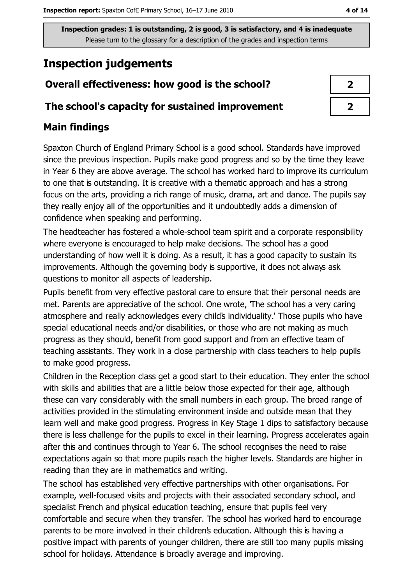# **Inspection judgements**

## Overall effectiveness: how good is the school?

#### The school's capacity for sustained improvement

## **Main findings**

Spaxton Church of England Primary School is a good school. Standards have improved since the previous inspection. Pupils make good progress and so by the time they leave in Year 6 they are above average. The school has worked hard to improve its curriculum to one that is outstanding. It is creative with a thematic approach and has a strong focus on the arts, providing a rich range of music, drama, art and dance. The pupils say they really enjoy all of the opportunities and it undoubtedly adds a dimension of confidence when speaking and performing.

The headteacher has fostered a whole-school team spirit and a corporate responsibility where everyone is encouraged to help make decisions. The school has a good understanding of how well it is doing. As a result, it has a good capacity to sustain its improvements. Although the governing body is supportive, it does not always ask questions to monitor all aspects of leadership.

Pupils benefit from very effective pastoral care to ensure that their personal needs are met. Parents are appreciative of the school. One wrote, The school has a very caring atmosphere and really acknowledges every child's individuality.' Those pupils who have special educational needs and/or disabilities, or those who are not making as much progress as they should, benefit from good support and from an effective team of teaching assistants. They work in a close partnership with class teachers to help pupils to make good progress.

Children in the Reception class get a good start to their education. They enter the school with skills and abilities that are a little below those expected for their age, although these can vary considerably with the small numbers in each group. The broad range of activities provided in the stimulating environment inside and outside mean that they learn well and make good progress. Progress in Key Stage 1 dips to satisfactory because there is less challenge for the pupils to excel in their learning. Progress accelerates again after this and continues through to Year 6. The school recognises the need to raise expectations again so that more pupils reach the higher levels. Standards are higher in reading than they are in mathematics and writing.

The school has established very effective partnerships with other organisations. For example, well-focused visits and projects with their associated secondary school, and specialist French and physical education teaching, ensure that pupils feel very comfortable and secure when they transfer. The school has worked hard to encourage parents to be more involved in their children's education. Although this is having a positive impact with parents of younger children, there are still too many pupils missing school for holidays. Attendance is broadly average and improving.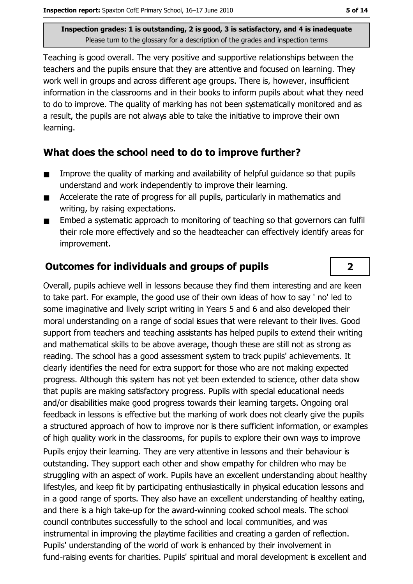Teaching is good overall. The very positive and supportive relationships between the teachers and the pupils ensure that they are attentive and focused on learning. They work well in groups and across different age groups. There is, however, insufficient information in the classrooms and in their books to inform pupils about what they need to do to improve. The quality of marking has not been systematically monitored and as a result, the pupils are not always able to take the initiative to improve their own learning.

#### What does the school need to do to improve further?

- Improve the quality of marking and availability of helpful quidance so that pupils  $\blacksquare$ understand and work independently to improve their learning.
- Accelerate the rate of progress for all pupils, particularly in mathematics and  $\blacksquare$ writing, by raising expectations.
- Embed a systematic approach to monitoring of teaching so that governors can fulfil  $\blacksquare$ their role more effectively and so the headteacher can effectively identify areas for improvement.

#### **Outcomes for individuals and groups of pupils**

Overall, pupils achieve well in lessons because they find them interesting and are keen to take part. For example, the good use of their own ideas of how to say ' no' led to some imaginative and lively script writing in Years 5 and 6 and also developed their moral understanding on a range of social issues that were relevant to their lives. Good support from teachers and teaching assistants has helped pupils to extend their writing and mathematical skills to be above average, though these are still not as strong as reading. The school has a good assessment system to track pupils' achievements. It clearly identifies the need for extra support for those who are not making expected progress. Although this system has not yet been extended to science, other data show that pupils are making satisfactory progress. Pupils with special educational needs and/or disabilities make good progress towards their learning targets. Ongoing oral feedback in lessons is effective but the marking of work does not clearly give the pupils a structured approach of how to improve nor is there sufficient information, or examples of high quality work in the classrooms, for pupils to explore their own ways to improve Pupils enjoy their learning. They are very attentive in lessons and their behaviour is outstanding. They support each other and show empathy for children who may be struggling with an aspect of work. Pupils have an excellent understanding about healthy lifestyles, and keep fit by participating enthusiastically in physical education lessons and in a good range of sports. They also have an excellent understanding of healthy eating, and there is a high take-up for the award-winning cooked school meals. The school council contributes successfully to the school and local communities, and was instrumental in improving the playtime facilities and creating a garden of reflection. Pupils' understanding of the world of work is enhanced by their involvement in fund-raising events for charities. Pupils' spiritual and moral development is excellent and

 $\mathbf{2}$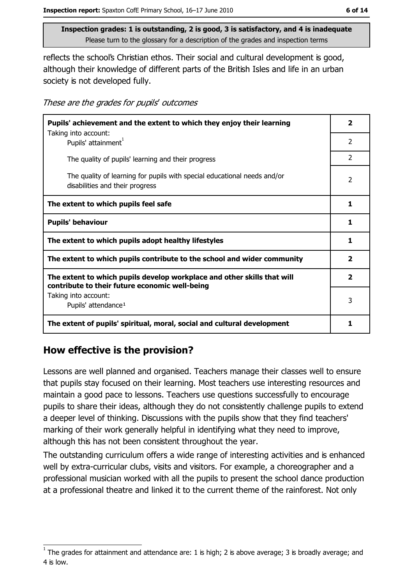reflects the school's Christian ethos. Their social and cultural development is good, although their knowledge of different parts of the British Isles and life in an urban society is not developed fully.

These are the grades for pupils' outcomes

| Pupils' achievement and the extent to which they enjoy their learning<br>Taking into account:                             | 2                        |
|---------------------------------------------------------------------------------------------------------------------------|--------------------------|
| Pupils' attainment <sup>1</sup>                                                                                           | $\overline{\phantom{a}}$ |
| The quality of pupils' learning and their progress                                                                        | $\overline{2}$           |
| The quality of learning for pupils with special educational needs and/or<br>disabilities and their progress               | $\overline{2}$           |
| The extent to which pupils feel safe                                                                                      | 1                        |
| <b>Pupils' behaviour</b>                                                                                                  | 1                        |
| The extent to which pupils adopt healthy lifestyles                                                                       | 1                        |
| The extent to which pupils contribute to the school and wider community                                                   | $\mathbf{2}$             |
| The extent to which pupils develop workplace and other skills that will<br>contribute to their future economic well-being | $\overline{\mathbf{2}}$  |
| Taking into account:<br>Pupils' attendance <sup>1</sup>                                                                   | 3                        |
| The extent of pupils' spiritual, moral, social and cultural development                                                   | 1                        |

#### How effective is the provision?

Lessons are well planned and organised. Teachers manage their classes well to ensure that pupils stay focused on their learning. Most teachers use interesting resources and maintain a good pace to lessons. Teachers use questions successfully to encourage pupils to share their ideas, although they do not consistently challenge pupils to extend a deeper level of thinking. Discussions with the pupils show that they find teachers' marking of their work generally helpful in identifying what they need to improve, although this has not been consistent throughout the year.

The outstanding curriculum offers a wide range of interesting activities and is enhanced well by extra-curricular clubs, visits and visitors. For example, a choreographer and a professional musician worked with all the pupils to present the school dance production at a professional theatre and linked it to the current theme of the rainforest. Not only

The grades for attainment and attendance are: 1 is high; 2 is above average; 3 is broadly average; and 4 is low.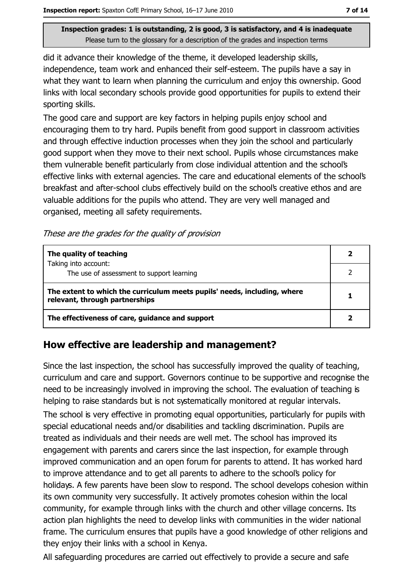did it advance their knowledge of the theme, it developed leadership skills, independence, team work and enhanced their self-esteem. The pupils have a say in what they want to learn when planning the curriculum and enjoy this ownership. Good links with local secondary schools provide good opportunities for pupils to extend their sporting skills.

The good care and support are key factors in helping pupils enjoy school and encouraging them to try hard. Pupils benefit from good support in classroom activities and through effective induction processes when they join the school and particularly good support when they move to their next school. Pupils whose circumstances make them vulnerable benefit particularly from close individual attention and the school's effective links with external agencies. The care and educational elements of the school's breakfast and after-school clubs effectively build on the school's creative ethos and are valuable additions for the pupils who attend. They are very well managed and organised, meeting all safety requirements.

These are the grades for the quality of provision

| The quality of teaching                                                                                    |  |
|------------------------------------------------------------------------------------------------------------|--|
| Taking into account:<br>The use of assessment to support learning                                          |  |
|                                                                                                            |  |
| The extent to which the curriculum meets pupils' needs, including, where<br>relevant, through partnerships |  |
| The effectiveness of care, guidance and support                                                            |  |

## How effective are leadership and management?

Since the last inspection, the school has successfully improved the quality of teaching, curriculum and care and support. Governors continue to be supportive and recognise the need to be increasingly involved in improving the school. The evaluation of teaching is helping to raise standards but is not systematically monitored at regular intervals. The school is very effective in promoting equal opportunities, particularly for pupils with special educational needs and/or disabilities and tackling discrimination. Pupils are treated as individuals and their needs are well met. The school has improved its engagement with parents and carers since the last inspection, for example through improved communication and an open forum for parents to attend. It has worked hard to improve attendance and to get all parents to adhere to the school's policy for holidays. A few parents have been slow to respond. The school develops cohesion within its own community very successfully. It actively promotes cohesion within the local community, for example through links with the church and other village concerns. Its action plan highlights the need to develop links with communities in the wider national frame. The curriculum ensures that pupils have a good knowledge of other religions and they enjoy their links with a school in Kenya.

All safeguarding procedures are carried out effectively to provide a secure and safe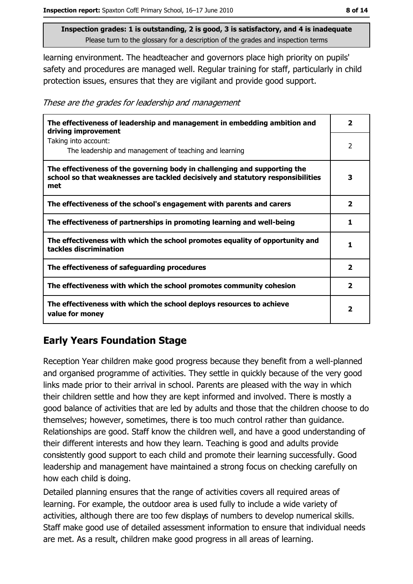learning environment. The headteacher and governors place high priority on pupils' safety and procedures are managed well. Regular training for staff, particularly in child protection issues, ensures that they are vigilant and provide good support.

These are the grades for leadership and management

| The effectiveness of leadership and management in embedding ambition and<br>driving improvement                                                                     | $\overline{\mathbf{2}}$ |
|---------------------------------------------------------------------------------------------------------------------------------------------------------------------|-------------------------|
| Taking into account:<br>The leadership and management of teaching and learning                                                                                      | 2                       |
| The effectiveness of the governing body in challenging and supporting the<br>school so that weaknesses are tackled decisively and statutory responsibilities<br>met | 3                       |
| The effectiveness of the school's engagement with parents and carers                                                                                                | $\overline{\mathbf{2}}$ |
| The effectiveness of partnerships in promoting learning and well-being                                                                                              | 1                       |
| The effectiveness with which the school promotes equality of opportunity and<br>tackles discrimination                                                              |                         |
| The effectiveness of safeguarding procedures                                                                                                                        | $\overline{\mathbf{2}}$ |
| The effectiveness with which the school promotes community cohesion                                                                                                 | $\overline{2}$          |
| The effectiveness with which the school deploys resources to achieve<br>value for money                                                                             | 2                       |

## **Early Years Foundation Stage**

Reception Year children make good progress because they benefit from a well-planned and organised programme of activities. They settle in quickly because of the very good links made prior to their arrival in school. Parents are pleased with the way in which their children settle and how they are kept informed and involved. There is mostly a good balance of activities that are led by adults and those that the children choose to do themselves; however, sometimes, there is too much control rather than guidance. Relationships are good. Staff know the children well, and have a good understanding of their different interests and how they learn. Teaching is good and adults provide consistently good support to each child and promote their learning successfully. Good leadership and management have maintained a strong focus on checking carefully on how each child is doing.

Detailed planning ensures that the range of activities covers all required areas of learning. For example, the outdoor area is used fully to include a wide variety of activities, although there are too few displays of numbers to develop numerical skills. Staff make good use of detailed assessment information to ensure that individual needs are met. As a result, children make good progress in all areas of learning.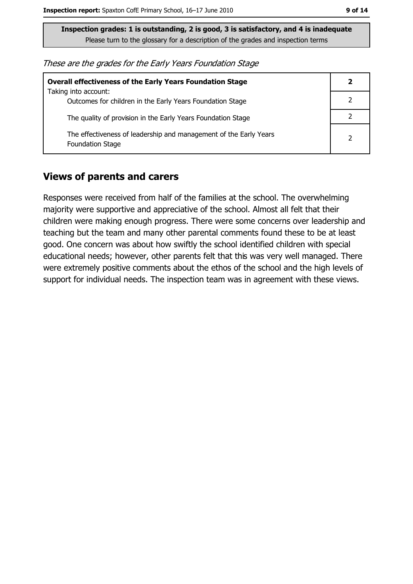These are the grades for the Early Years Foundation Stage

| <b>Overall effectiveness of the Early Years Foundation Stage</b><br>Taking into account:     |                |
|----------------------------------------------------------------------------------------------|----------------|
| Outcomes for children in the Early Years Foundation Stage                                    |                |
| The quality of provision in the Early Years Foundation Stage                                 |                |
| The effectiveness of leadership and management of the Early Years<br><b>Foundation Stage</b> | $\overline{2}$ |

#### **Views of parents and carers**

Responses were received from half of the families at the school. The overwhelming majority were supportive and appreciative of the school. Almost all felt that their children were making enough progress. There were some concerns over leadership and teaching but the team and many other parental comments found these to be at least good. One concern was about how swiftly the school identified children with special educational needs; however, other parents felt that this was very well managed. There were extremely positive comments about the ethos of the school and the high levels of support for individual needs. The inspection team was in agreement with these views.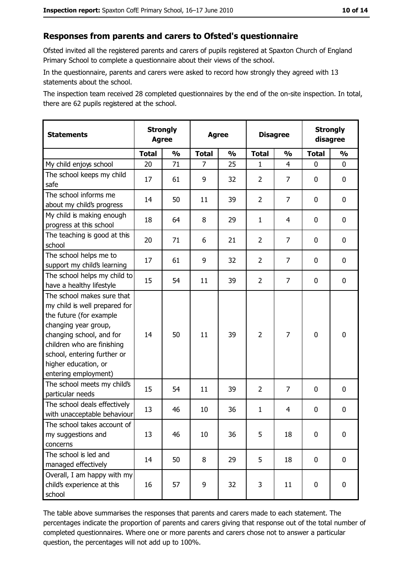## Responses from parents and carers to Ofsted's questionnaire

Ofsted invited all the registered parents and carers of pupils registered at Spaxton Church of England Primary School to complete a questionnaire about their views of the school.

In the questionnaire, parents and carers were asked to record how strongly they agreed with 13 statements about the school.

The inspection team received 28 completed questionnaires by the end of the on-site inspection. In total, there are 62 pupils registered at the school.

| <b>Statements</b>                                                                                                                                                                                                                                       | <b>Strongly</b><br><b>Agree</b> |               | <b>Agree</b> |               | <b>Disagree</b> |               | <b>Strongly</b><br>disagree |               |
|---------------------------------------------------------------------------------------------------------------------------------------------------------------------------------------------------------------------------------------------------------|---------------------------------|---------------|--------------|---------------|-----------------|---------------|-----------------------------|---------------|
|                                                                                                                                                                                                                                                         | <b>Total</b>                    | $\frac{1}{2}$ | <b>Total</b> | $\frac{0}{0}$ | <b>Total</b>    | $\frac{0}{0}$ | <b>Total</b>                | $\frac{1}{2}$ |
| My child enjoys school                                                                                                                                                                                                                                  | 20                              | 71            | 7            | 25            | 1               | 4             | 0                           | 0             |
| The school keeps my child<br>safe                                                                                                                                                                                                                       | 17                              | 61            | 9            | 32            | $\overline{2}$  | 7             | 0                           | 0             |
| The school informs me<br>about my child's progress                                                                                                                                                                                                      | 14                              | 50            | 11           | 39            | $\overline{2}$  | 7             | $\mathbf{0}$                | 0             |
| My child is making enough<br>progress at this school                                                                                                                                                                                                    | 18                              | 64            | 8            | 29            | $\mathbf{1}$    | 4             | 0                           | 0             |
| The teaching is good at this<br>school                                                                                                                                                                                                                  | 20                              | 71            | 6            | 21            | $\overline{2}$  | 7             | 0                           | 0             |
| The school helps me to<br>support my child's learning                                                                                                                                                                                                   | 17                              | 61            | 9            | 32            | $\overline{2}$  | 7             | 0                           | 0             |
| The school helps my child to<br>have a healthy lifestyle                                                                                                                                                                                                | 15                              | 54            | 11           | 39            | $\overline{2}$  | 7             | 0                           | 0             |
| The school makes sure that<br>my child is well prepared for<br>the future (for example<br>changing year group,<br>changing school, and for<br>children who are finishing<br>school, entering further or<br>higher education, or<br>entering employment) | 14                              | 50            | 11           | 39            | $\overline{2}$  | 7             | $\mathbf 0$                 | 0             |
| The school meets my child's<br>particular needs                                                                                                                                                                                                         | 15                              | 54            | 11           | 39            | $\overline{2}$  | 7             | 0                           | 0             |
| The school deals effectively<br>with unacceptable behaviour                                                                                                                                                                                             | 13                              | 46            | 10           | 36            | $\mathbf{1}$    | 4             | 0                           | 0             |
| The school takes account of<br>my suggestions and<br>concerns                                                                                                                                                                                           | 13                              | 46            | 10           | 36            | 5               | 18            | 0                           | 0             |
| The school is led and<br>managed effectively                                                                                                                                                                                                            | 14                              | 50            | 8            | 29            | 5               | 18            | 0                           | 0             |
| Overall, I am happy with my<br>child's experience at this<br>school                                                                                                                                                                                     | 16                              | 57            | 9            | 32            | 3               | 11            | 0                           | 0             |

The table above summarises the responses that parents and carers made to each statement. The percentages indicate the proportion of parents and carers giving that response out of the total number of completed questionnaires. Where one or more parents and carers chose not to answer a particular question, the percentages will not add up to 100%.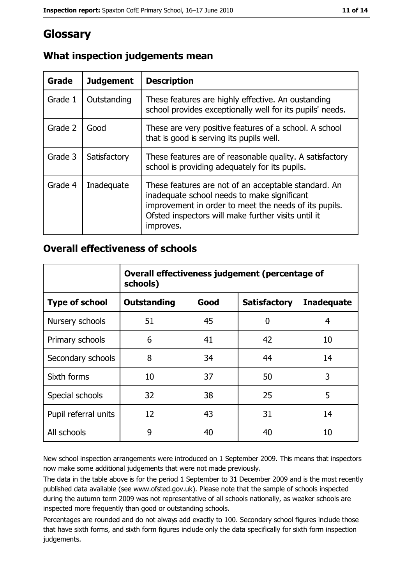# Glossary

| Grade   | <b>Judgement</b> | <b>Description</b>                                                                                                                                                                                                               |
|---------|------------------|----------------------------------------------------------------------------------------------------------------------------------------------------------------------------------------------------------------------------------|
| Grade 1 | Outstanding      | These features are highly effective. An oustanding<br>school provides exceptionally well for its pupils' needs.                                                                                                                  |
| Grade 2 | Good             | These are very positive features of a school. A school<br>that is good is serving its pupils well.                                                                                                                               |
| Grade 3 | Satisfactory     | These features are of reasonable quality. A satisfactory<br>school is providing adequately for its pupils.                                                                                                                       |
| Grade 4 | Inadequate       | These features are not of an acceptable standard. An<br>inadequate school needs to make significant<br>improvement in order to meet the needs of its pupils.<br>Ofsted inspectors will make further visits until it<br>improves. |

## What inspection judgements mean

#### **Overall effectiveness of schools**

|                       | Overall effectiveness judgement (percentage of<br>schools) |      |                     |                   |
|-----------------------|------------------------------------------------------------|------|---------------------|-------------------|
| <b>Type of school</b> | <b>Outstanding</b>                                         | Good | <b>Satisfactory</b> | <b>Inadequate</b> |
| Nursery schools       | 51                                                         | 45   | 0                   | 4                 |
| Primary schools       | 6                                                          | 41   | 42                  | 10                |
| Secondary schools     | 8                                                          | 34   | 44                  | 14                |
| Sixth forms           | 10                                                         | 37   | 50                  | 3                 |
| Special schools       | 32                                                         | 38   | 25                  | 5                 |
| Pupil referral units  | 12                                                         | 43   | 31                  | 14                |
| All schools           | 9                                                          | 40   | 40                  | 10                |

New school inspection arrangements were introduced on 1 September 2009. This means that inspectors now make some additional judgements that were not made previously.

The data in the table above is for the period 1 September to 31 December 2009 and is the most recently published data available (see www.ofsted.gov.uk). Please note that the sample of schools inspected during the autumn term 2009 was not representative of all schools nationally, as weaker schools are inspected more frequently than good or outstanding schools.

Percentages are rounded and do not always add exactly to 100. Secondary school figures include those that have sixth forms, and sixth form figures include only the data specifically for sixth form inspection judgements.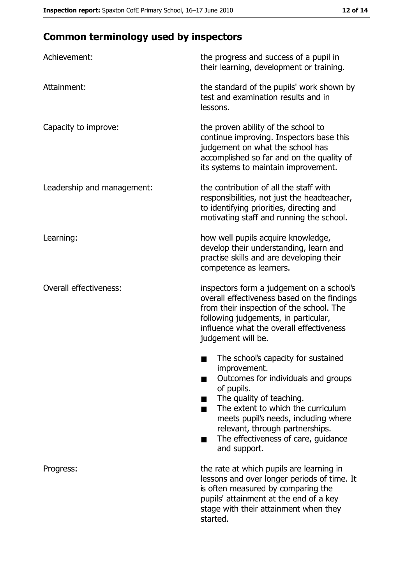# **Common terminology used by inspectors**

| Achievement:                  | the progress and success of a pupil in<br>their learning, development or training.                                                                                                                                                                                                                           |
|-------------------------------|--------------------------------------------------------------------------------------------------------------------------------------------------------------------------------------------------------------------------------------------------------------------------------------------------------------|
| Attainment:                   | the standard of the pupils' work shown by<br>test and examination results and in<br>lessons.                                                                                                                                                                                                                 |
| Capacity to improve:          | the proven ability of the school to<br>continue improving. Inspectors base this<br>judgement on what the school has<br>accomplished so far and on the quality of<br>its systems to maintain improvement.                                                                                                     |
| Leadership and management:    | the contribution of all the staff with<br>responsibilities, not just the headteacher,<br>to identifying priorities, directing and<br>motivating staff and running the school.                                                                                                                                |
| Learning:                     | how well pupils acquire knowledge,<br>develop their understanding, learn and<br>practise skills and are developing their<br>competence as learners.                                                                                                                                                          |
| <b>Overall effectiveness:</b> | inspectors form a judgement on a school's<br>overall effectiveness based on the findings<br>from their inspection of the school. The<br>following judgements, in particular,<br>influence what the overall effectiveness<br>judgement will be.                                                               |
|                               | The school's capacity for sustained<br>improvement.<br>Outcomes for individuals and groups<br>of pupils.<br>The quality of teaching.<br>The extent to which the curriculum<br>meets pupil's needs, including where<br>relevant, through partnerships.<br>The effectiveness of care, guidance<br>and support. |
| Progress:                     | the rate at which pupils are learning in<br>lessons and over longer periods of time. It<br>is often measured by comparing the<br>pupils' attainment at the end of a key<br>stage with their attainment when they<br>started.                                                                                 |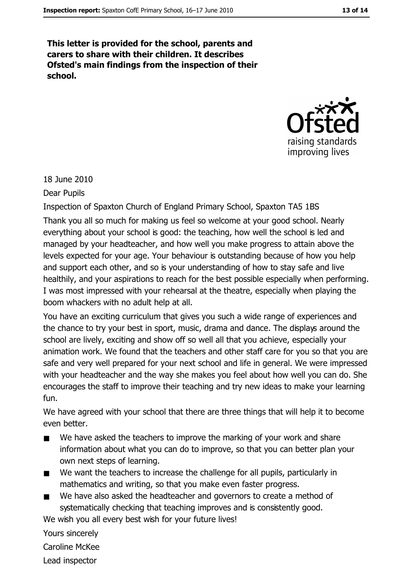This letter is provided for the school, parents and carers to share with their children. It describes Ofsted's main findings from the inspection of their school.



18 June 2010

**Dear Pupils** 

Inspection of Spaxton Church of England Primary School, Spaxton TA5 1BS Thank you all so much for making us feel so welcome at your good school. Nearly everything about your school is good: the teaching, how well the school is led and managed by your headteacher, and how well you make progress to attain above the levels expected for your age. Your behaviour is outstanding because of how you help and support each other, and so is your understanding of how to stay safe and live

healthily, and your aspirations to reach for the best possible especially when performing. I was most impressed with your rehearsal at the theatre, especially when playing the boom whackers with no adult help at all.

You have an exciting curriculum that gives you such a wide range of experiences and the chance to try your best in sport, music, drama and dance. The displays around the school are lively, exciting and show off so well all that you achieve, especially your animation work. We found that the teachers and other staff care for you so that you are safe and very well prepared for your next school and life in general. We were impressed with your headteacher and the way she makes you feel about how well you can do. She encourages the staff to improve their teaching and try new ideas to make your learning fun.

We have agreed with your school that there are three things that will help it to become even better.

- We have asked the teachers to improve the marking of your work and share  $\blacksquare$ information about what you can do to improve, so that you can better plan your own next steps of learning.
- We want the teachers to increase the challenge for all pupils, particularly in  $\blacksquare$ mathematics and writing, so that you make even faster progress.
- We have also asked the headteacher and governors to create a method of  $\blacksquare$ systematically checking that teaching improves and is consistently good.

We wish you all every best wish for your future lives!

Yours sincerely

Caroline McKee

Lead inspector